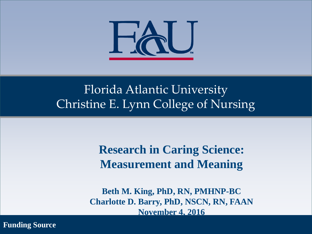

#### Florida Atlantic University Christine E. Lynn College of Nursing

**Research in Caring Science: Measurement and Meaning**

**Beth M. King, PhD, RN, PMHNP-BC Charlotte D. Barry, PhD, NSCN, RN, FAAN November 4, 2016**

**Funding Source**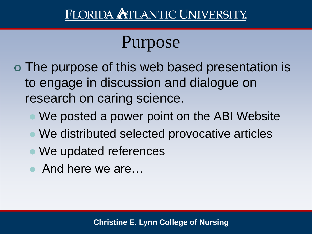# Purpose

- The purpose of this web based presentation is to engage in discussion and dialogue on research on caring science.
	- We posted a power point on the ABI Website
	- We distributed selected provocative articles
	- We updated references
	- And here we are…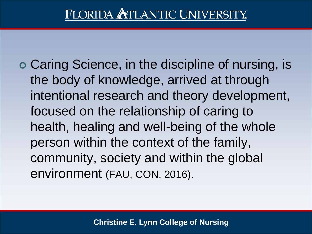Caring Science, in the discipline of nursing, is the body of knowledge, arrived at through intentional research and theory development, focused on the relationship of caring to health, healing and well-being of the whole person within the context of the family, community, society and within the global environment (FAU, CON, 2016).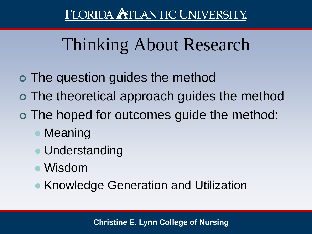# Thinking About Research

- The question guides the method
- The theoretical approach guides the method
- The hoped for outcomes guide the method:
	- Meaning
	- **Understanding**
	- Wisdom
	- **Knowledge Generation and Utilization**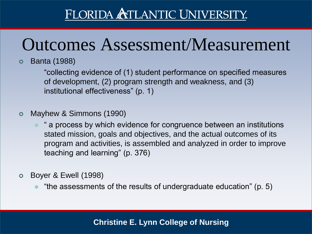# Outcomes Assessment/Measurement

#### Banta (1988)

 "collecting evidence of (1) student performance on specified measures of development, (2) program strength and weakness, and (3) institutional effectiveness" (p. 1)

#### Mayhew & Simmons (1990)

- " a process by which evidence for congruence between an institutions stated mission, goals and objectives, and the actual outcomes of its program and activities, is assembled and analyzed in order to improve teaching and learning" (p. 376)
- Boyer & Ewell (1998)
	- "the assessments of the results of undergraduate education" (p. 5)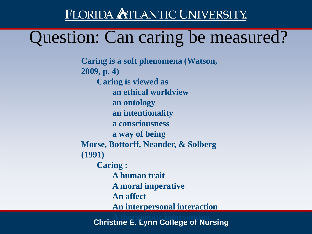## Question: Can caring be measured?

**Caring is a soft phenomena (Watson, 2009, p. 4) Caring is viewed as an ethical worldview an ontology an intentionality a consciousness a way of being Morse, Bottorff, Neander, & Solberg (1991) Caring : A human trait A moral imperative An affect An interpersonal interaction**

> **Christine E. Lynn College of Nursing A therapeutic intervention**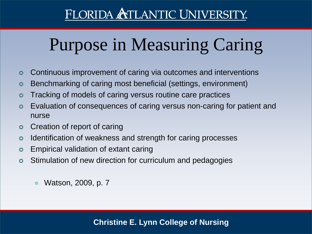# Purpose in Measuring Caring

- Continuous improvement of caring via outcomes and interventions
- Benchmarking of caring most beneficial (settings, environment)
- Tracking of models of caring versus routine care practices
- Evaluation of consequences of caring versus non-caring for patient and nurse
- Creation of report of caring
- o Identification of weakness and strength for caring processes
- Empirical validation of extant caring
- Stimulation of new direction for curriculum and pedagogies
	- Watson, 2009, p. 7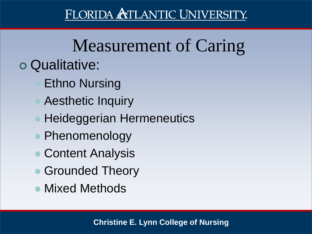# Measurement of Caring

- Qualitative:
	- Ethno Nursing
	- Aesthetic Inquiry
	- **Heideggerian Hermeneutics**
	- Phenomenology
	- Content Analysis
	- **Grounded Theory**
	- Mixed Methods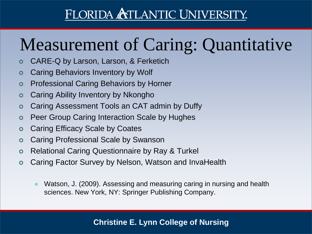# Measurement of Caring: Quantitative

- CARE-Q by Larson, Larson, & Ferketich
- Caring Behaviors Inventory by Wolf
- Professional Caring Behaviors by Horner
- Caring Ability Inventory by Nkongho
- Caring Assessment Tools an CAT admin by Duffy
- Peer Group Caring Interaction Scale by Hughes
- Caring Efficacy Scale by Coates
- Caring Professional Scale by Swanson
- Relational Caring Questionnaire by Ray & Turkel
- Caring Factor Survey by Nelson, Watson and InvaHealth
	- Watson, J. (2009). Assessing and measuring caring in nursing and health sciences. New York, NY: Springer Publishing Company.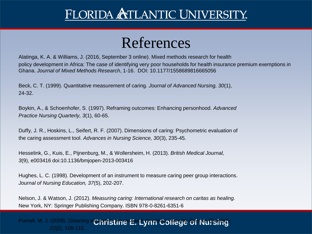#### References

Alatinga, K. A. & Williams, J. (2016, September 3 online). Mixed methods research for health policy development in Africa: The case of identifying very poor households for health insurance premium exemptions in Ghana. *Journal of Mixed Methods Research*, 1-16. DOI: 10.1177/1558689816665056

Beck, C. T. (1999). Quantitative measurement of caring. *Journal of Advanced Nursing, 30*(1), 24-32.

Boykin, A., & Schoenhofer, S. (1997). Reframing outcomes: Enhancing personhood. *Advanced Practice Nursing Quarterly, 3*(1), 60-65.

Duffy, J. R., Hoskins, L., Seifert, R. F. (2007). Dimensions of caring: Psychometric evaluation of the caring assessment tool. *Advances in Nursing Science, 30*(3), 235-45.

Hesselink, G., Kuis, E., Pijnenburg, M., & Wollersheim, H. (2013). *British Medical Journal, 3*(9), e003416 doi:10.1136/bmjopen-2013-003416

Hughes, L. C. (1998). Development of an instrument to measure caring peer group interactions. *Journal of Nursing Education, 37*(5), 202-207.

Nelson, J. & Watson, J. (2012). *Measuring caring: International research on caritas as healing.* New York, NY: Springer Publishing Company. ISBN 978-0-8261-6351-6

Purnell, M. J. (2009). Gleaning w**ich ristine E. Lynn College of Nursing** *22*(2), 109-115.